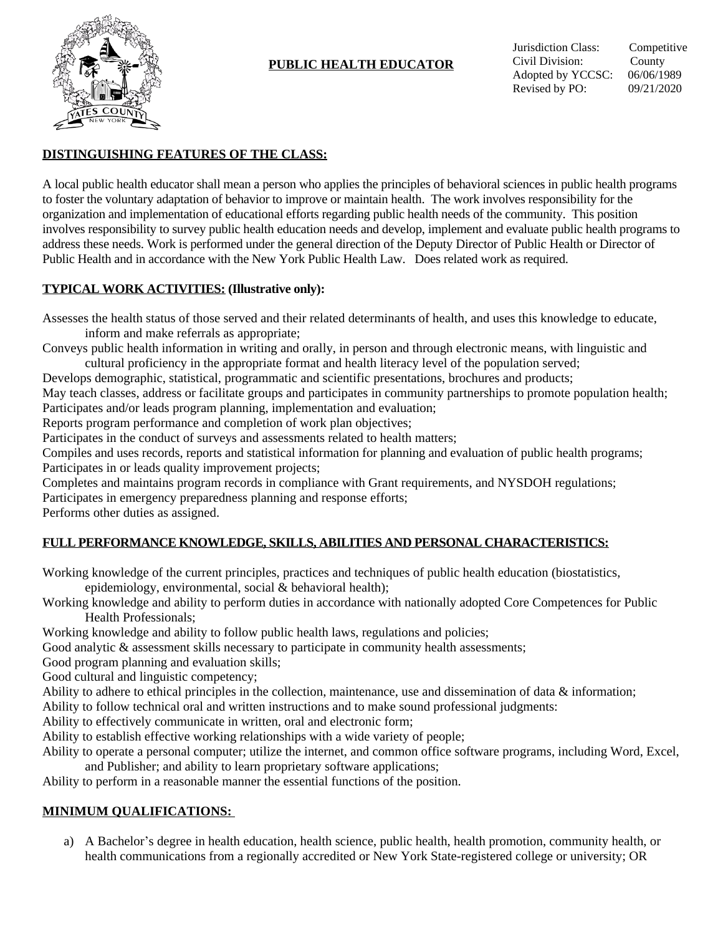

# **PUBLIC HEALTH EDUCATOR**

### **DISTINGUISHING FEATURES OF THE CLASS:**

A local public health educator shall mean a person who applies the principles of behavioral sciences in public health programs to foster the voluntary adaptation of behavior to improve or maintain health. The work involves responsibility for the organization and implementation of educational efforts regarding public health needs of the community. This position involves responsibility to survey public health education needs and develop, implement and evaluate public health programs to address these needs. Work is performed under the general direction of the Deputy Director of Public Health or Director of Public Health and in accordance with the New York Public Health Law. Does related work as required.

#### **TYPICAL WORK ACTIVITIES: (Illustrative only):**

Assesses the health status of those served and their related determinants of health, and uses this knowledge to educate, inform and make referrals as appropriate;

Conveys public health information in writing and orally, in person and through electronic means, with linguistic and cultural proficiency in the appropriate format and health literacy level of the population served;

Develops demographic, statistical, programmatic and scientific presentations, brochures and products;

May teach classes, address or facilitate groups and participates in community partnerships to promote population health; Participates and/or leads program planning, implementation and evaluation;

Reports program performance and completion of work plan objectives;

Participates in the conduct of surveys and assessments related to health matters;

Compiles and uses records, reports and statistical information for planning and evaluation of public health programs; Participates in or leads quality improvement projects;

Completes and maintains program records in compliance with Grant requirements, and NYSDOH regulations;

Participates in emergency preparedness planning and response efforts;

Performs other duties as assigned.

# **FULL PERFORMANCE KNOWLEDGE, SKILLS, ABILITIES AND PERSONAL CHARACTERISTICS:**

Working knowledge of the current principles, practices and techniques of public health education (biostatistics, epidemiology, environmental, social & behavioral health);

Working knowledge and ability to perform duties in accordance with nationally adopted Core Competences for Public Health Professionals;

Working knowledge and ability to follow public health laws, regulations and policies;

Good analytic & assessment skills necessary to participate in community health assessments;

Good program planning and evaluation skills;

Good cultural and linguistic competency;

Ability to adhere to ethical principles in the collection, maintenance, use and dissemination of data & information;

Ability to follow technical oral and written instructions and to make sound professional judgments:

Ability to effectively communicate in written, oral and electronic form;

Ability to establish effective working relationships with a wide variety of people;

Ability to operate a personal computer; utilize the internet, and common office software programs, including Word, Excel, and Publisher; and ability to learn proprietary software applications;

Ability to perform in a reasonable manner the essential functions of the position.

# **MINIMUM QUALIFICATIONS:**

a) A Bachelor's degree in health education, health science, public health, health promotion, community health, or health communications from a regionally accredited or New York State-registered college or university; OR